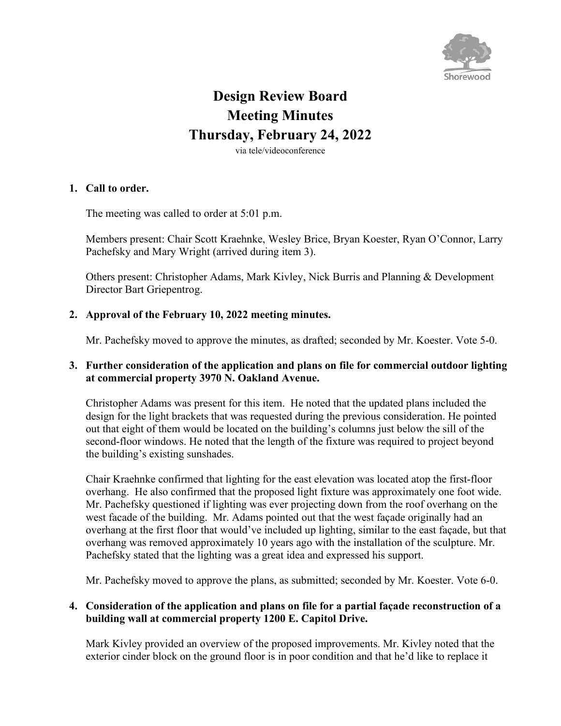

# **Design Review Board Meeting Minutes Thursday, February 24, 2022**

via tele/videoconference

#### **1. Call to order.**

The meeting was called to order at 5:01 p.m.

Members present: Chair Scott Kraehnke, Wesley Brice, Bryan Koester, Ryan O'Connor, Larry Pachefsky and Mary Wright (arrived during item 3).

Others present: Christopher Adams, Mark Kivley, Nick Burris and Planning & Development Director Bart Griepentrog.

### **2. Approval of the February 10, 2022 meeting minutes.**

Mr. Pachefsky moved to approve the minutes, as drafted; seconded by Mr. Koester. Vote 5-0.

### **3. Further consideration of the application and plans on file for commercial outdoor lighting at commercial property 3970 N. Oakland Avenue.**

Christopher Adams was present for this item. He noted that the updated plans included the design for the light brackets that was requested during the previous consideration. He pointed out that eight of them would be located on the building's columns just below the sill of the second-floor windows. He noted that the length of the fixture was required to project beyond the building's existing sunshades.

Chair Kraehnke confirmed that lighting for the east elevation was located atop the first-floor overhang. He also confirmed that the proposed light fixture was approximately one foot wide. Mr. Pachefsky questioned if lighting was ever projecting down from the roof overhang on the west facade of the building. Mr. Adams pointed out that the west façade originally had an overhang at the first floor that would've included up lighting, similar to the east façade, but that overhang was removed approximately 10 years ago with the installation of the sculpture. Mr. Pachefsky stated that the lighting was a great idea and expressed his support.

Mr. Pachefsky moved to approve the plans, as submitted; seconded by Mr. Koester. Vote 6-0.

### **4. Consideration of the application and plans on file for a partial façade reconstruction of a building wall at commercial property 1200 E. Capitol Drive.**

Mark Kivley provided an overview of the proposed improvements. Mr. Kivley noted that the exterior cinder block on the ground floor is in poor condition and that he'd like to replace it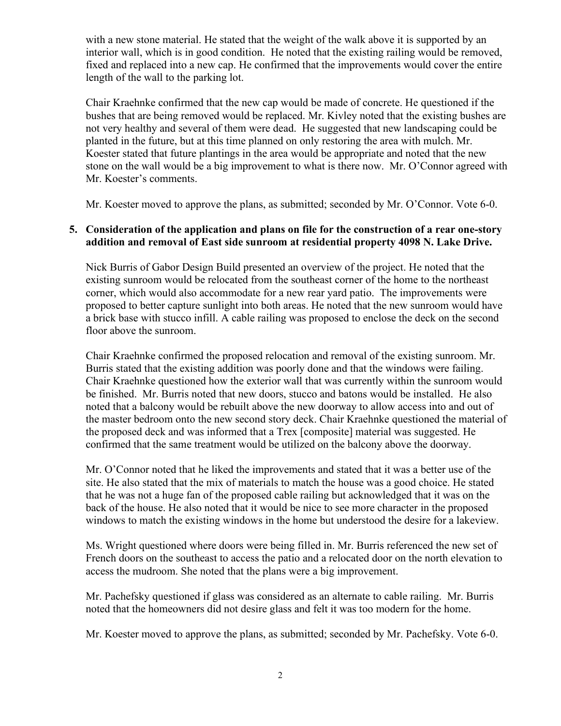with a new stone material. He stated that the weight of the walk above it is supported by an interior wall, which is in good condition. He noted that the existing railing would be removed, fixed and replaced into a new cap. He confirmed that the improvements would cover the entire length of the wall to the parking lot.

Chair Kraehnke confirmed that the new cap would be made of concrete. He questioned if the bushes that are being removed would be replaced. Mr. Kivley noted that the existing bushes are not very healthy and several of them were dead. He suggested that new landscaping could be planted in the future, but at this time planned on only restoring the area with mulch. Mr. Koester stated that future plantings in the area would be appropriate and noted that the new stone on the wall would be a big improvement to what is there now. Mr. O'Connor agreed with Mr. Koester's comments.

Mr. Koester moved to approve the plans, as submitted; seconded by Mr. O'Connor. Vote 6-0.

#### **5. Consideration of the application and plans on file for the construction of a rear one-story addition and removal of East side sunroom at residential property 4098 N. Lake Drive.**

Nick Burris of Gabor Design Build presented an overview of the project. He noted that the existing sunroom would be relocated from the southeast corner of the home to the northeast corner, which would also accommodate for a new rear yard patio. The improvements were proposed to better capture sunlight into both areas. He noted that the new sunroom would have a brick base with stucco infill. A cable railing was proposed to enclose the deck on the second floor above the sunroom.

Chair Kraehnke confirmed the proposed relocation and removal of the existing sunroom. Mr. Burris stated that the existing addition was poorly done and that the windows were failing. Chair Kraehnke questioned how the exterior wall that was currently within the sunroom would be finished. Mr. Burris noted that new doors, stucco and batons would be installed. He also noted that a balcony would be rebuilt above the new doorway to allow access into and out of the master bedroom onto the new second story deck. Chair Kraehnke questioned the material of the proposed deck and was informed that a Trex [composite] material was suggested. He confirmed that the same treatment would be utilized on the balcony above the doorway.

Mr. O'Connor noted that he liked the improvements and stated that it was a better use of the site. He also stated that the mix of materials to match the house was a good choice. He stated that he was not a huge fan of the proposed cable railing but acknowledged that it was on the back of the house. He also noted that it would be nice to see more character in the proposed windows to match the existing windows in the home but understood the desire for a lakeview.

Ms. Wright questioned where doors were being filled in. Mr. Burris referenced the new set of French doors on the southeast to access the patio and a relocated door on the north elevation to access the mudroom. She noted that the plans were a big improvement.

Mr. Pachefsky questioned if glass was considered as an alternate to cable railing. Mr. Burris noted that the homeowners did not desire glass and felt it was too modern for the home.

Mr. Koester moved to approve the plans, as submitted; seconded by Mr. Pachefsky. Vote 6-0.